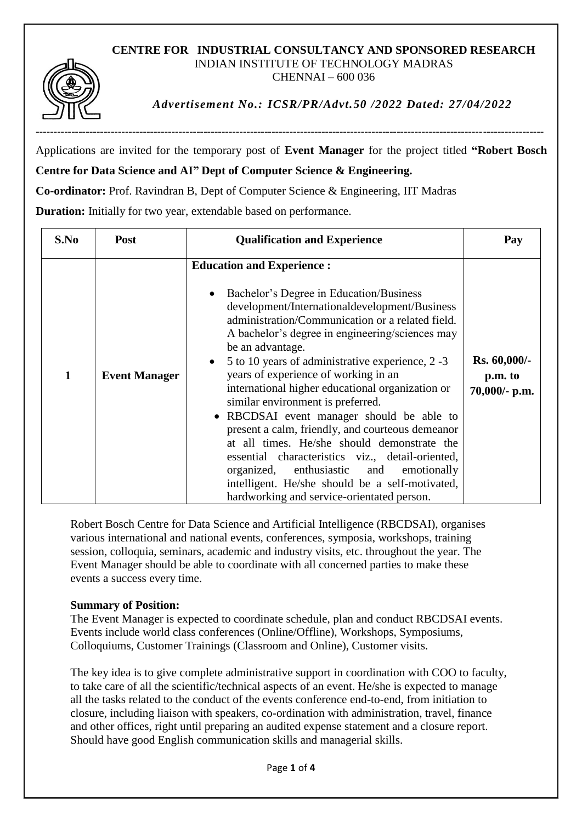## **CENTRE FOR INDUSTRIAL CONSULTANCY AND SPONSORED RESEARCH** INDIAN INSTITUTE OF TECHNOLOGY MADRAS CHENNAI – 600 036



*Advertisement No.: ICSR/PR/Advt.50 /2022 Dated: 27/04/2022*

Applications are invited for the temporary post of **Event Manager** for the project titled **"Robert Bosch** 

**Centre for Data Science and AI" Dept of Computer Science & Engineering.**

**Co-ordinator:** Prof. Ravindran B, Dept of Computer Science & Engineering, IIT Madras

**Duration:** Initially for two year, extendable based on performance.

| S.No | Post                 | <b>Qualification and Experience</b>                                                                                                                                                                                                                                                                                                                                                                                                                                                                                                                                                                                                                                                                                                                                                             | Pay                                      |
|------|----------------------|-------------------------------------------------------------------------------------------------------------------------------------------------------------------------------------------------------------------------------------------------------------------------------------------------------------------------------------------------------------------------------------------------------------------------------------------------------------------------------------------------------------------------------------------------------------------------------------------------------------------------------------------------------------------------------------------------------------------------------------------------------------------------------------------------|------------------------------------------|
| 1    | <b>Event Manager</b> | <b>Education and Experience:</b><br>Bachelor's Degree in Education/Business<br>development/Internationaldevelopment/Business<br>administration/Communication or a related field.<br>A bachelor's degree in engineering/sciences may<br>be an advantage.<br>5 to 10 years of administrative experience, 2 -3<br>years of experience of working in an<br>international higher educational organization or<br>similar environment is preferred.<br>• RBCDSAI event manager should be able to<br>present a calm, friendly, and courteous demeanor<br>at all times. He/she should demonstrate the<br>essential characteristics viz., detail-oriented,<br>organized, enthusiastic and<br>emotionally<br>intelligent. He/she should be a self-motivated,<br>hardworking and service-orientated person. | Rs. 60,000/-<br>p.m. to<br>70,000/- p.m. |

Robert Bosch Centre for Data Science and Artificial Intelligence (RBCDSAI), organises various international and national events, conferences, symposia, workshops, training session, colloquia, seminars, academic and industry visits, etc. throughout the year. The Event Manager should be able to coordinate with all concerned parties to make these events a success every time.

## **Summary of Position:**

The Event Manager is expected to coordinate schedule, plan and conduct RBCDSAI events. Events include world class conferences (Online/Offline), Workshops, Symposiums, Colloquiums, Customer Trainings (Classroom and Online), Customer visits.

The key idea is to give complete administrative support in coordination with COO to faculty, to take care of all the scientific/technical aspects of an event. He/she is expected to manage all the tasks related to the conduct of the events conference end-to-end, from initiation to closure, including liaison with speakers, co-ordination with administration, travel, finance and other offices, right until preparing an audited expense statement and a closure report. Should have good English communication skills and managerial skills.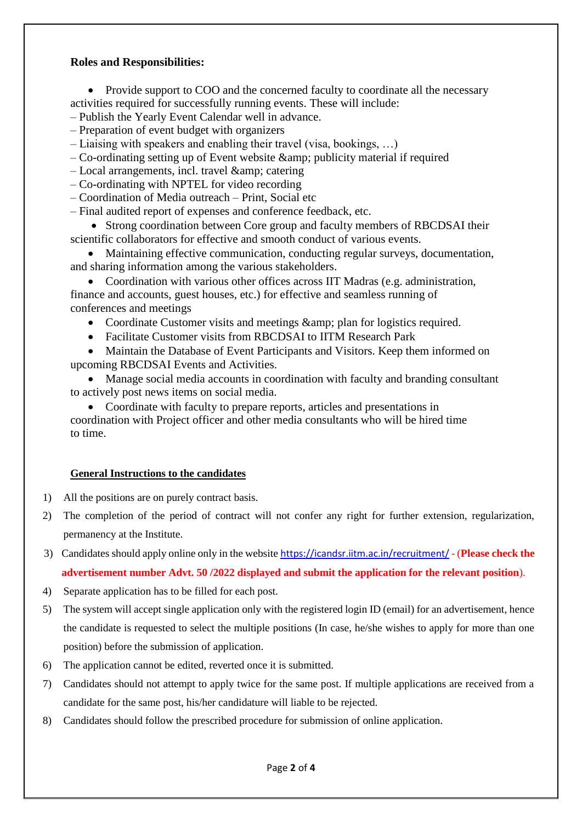## **Roles and Responsibilities:**

• Provide support to COO and the concerned faculty to coordinate all the necessary activities required for successfully running events. These will include:

- Publish the Yearly Event Calendar well in advance.
- Preparation of event budget with organizers
- Liaising with speakers and enabling their travel (visa, bookings, …)
- $-$  Co-ordinating setting up of Event website  $\&$ amp; publicity material if required
- $-$  Local arrangements, incl. travel  $\&$ amp; catering
- Co-ordinating with NPTEL for video recording
- Coordination of Media outreach Print, Social etc

– Final audited report of expenses and conference feedback, etc.

- Strong coordination between Core group and faculty members of RBCDSAI their scientific collaborators for effective and smooth conduct of various events.
- Maintaining effective communication, conducting regular surveys, documentation, and sharing information among the various stakeholders.
- Coordination with various other offices across IIT Madras (e.g. administration, finance and accounts, guest houses, etc.) for effective and seamless running of conferences and meetings
	- Coordinate Customer visits and meetings & amp; plan for logistics required.
	- Facilitate Customer visits from RBCDSAI to IITM Research Park

• Maintain the Database of Event Participants and Visitors. Keep them informed on upcoming RBCDSAI Events and Activities.

 Manage social media accounts in coordination with faculty and branding consultant to actively post news items on social media.

• Coordinate with faculty to prepare reports, articles and presentations in coordination with Project officer and other media consultants who will be hired time to time.

## **General Instructions to the candidates**

- 1) All the positions are on purely contract basis.
- 2) The completion of the period of contract will not confer any right for further extension, regularization, permanency at the Institute.
- 3) Candidates should apply online only in the website <https://icandsr.iitm.ac.in/recruitment/> (**Please check the advertisement number Advt. 50 /2022 displayed and submit the application for the relevant position**).
- 4) Separate application has to be filled for each post.
- 5) The system will accept single application only with the registered login ID (email) for an advertisement, hence the candidate is requested to select the multiple positions (In case, he/she wishes to apply for more than one position) before the submission of application.
- 6) The application cannot be edited, reverted once it is submitted.
- 7) Candidates should not attempt to apply twice for the same post. If multiple applications are received from a candidate for the same post, his/her candidature will liable to be rejected.
- 8) Candidates should follow the prescribed procedure for submission of online application.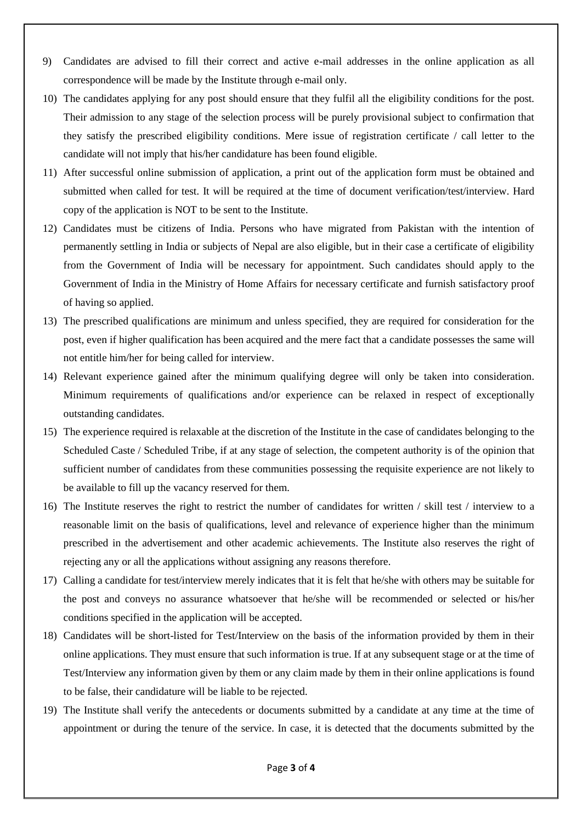- 9) Candidates are advised to fill their correct and active e-mail addresses in the online application as all correspondence will be made by the Institute through e-mail only.
- 10) The candidates applying for any post should ensure that they fulfil all the eligibility conditions for the post. Their admission to any stage of the selection process will be purely provisional subject to confirmation that they satisfy the prescribed eligibility conditions. Mere issue of registration certificate / call letter to the candidate will not imply that his/her candidature has been found eligible.
- 11) After successful online submission of application, a print out of the application form must be obtained and submitted when called for test. It will be required at the time of document verification/test/interview. Hard copy of the application is NOT to be sent to the Institute.
- 12) Candidates must be citizens of India. Persons who have migrated from Pakistan with the intention of permanently settling in India or subjects of Nepal are also eligible, but in their case a certificate of eligibility from the Government of India will be necessary for appointment. Such candidates should apply to the Government of India in the Ministry of Home Affairs for necessary certificate and furnish satisfactory proof of having so applied.
- 13) The prescribed qualifications are minimum and unless specified, they are required for consideration for the post, even if higher qualification has been acquired and the mere fact that a candidate possesses the same will not entitle him/her for being called for interview.
- 14) Relevant experience gained after the minimum qualifying degree will only be taken into consideration. Minimum requirements of qualifications and/or experience can be relaxed in respect of exceptionally outstanding candidates.
- 15) The experience required is relaxable at the discretion of the Institute in the case of candidates belonging to the Scheduled Caste / Scheduled Tribe, if at any stage of selection, the competent authority is of the opinion that sufficient number of candidates from these communities possessing the requisite experience are not likely to be available to fill up the vacancy reserved for them.
- 16) The Institute reserves the right to restrict the number of candidates for written / skill test / interview to a reasonable limit on the basis of qualifications, level and relevance of experience higher than the minimum prescribed in the advertisement and other academic achievements. The Institute also reserves the right of rejecting any or all the applications without assigning any reasons therefore.
- 17) Calling a candidate for test/interview merely indicates that it is felt that he/she with others may be suitable for the post and conveys no assurance whatsoever that he/she will be recommended or selected or his/her conditions specified in the application will be accepted.
- 18) Candidates will be short-listed for Test/Interview on the basis of the information provided by them in their online applications. They must ensure that such information is true. If at any subsequent stage or at the time of Test/Interview any information given by them or any claim made by them in their online applications is found to be false, their candidature will be liable to be rejected.
- 19) The Institute shall verify the antecedents or documents submitted by a candidate at any time at the time of appointment or during the tenure of the service. In case, it is detected that the documents submitted by the